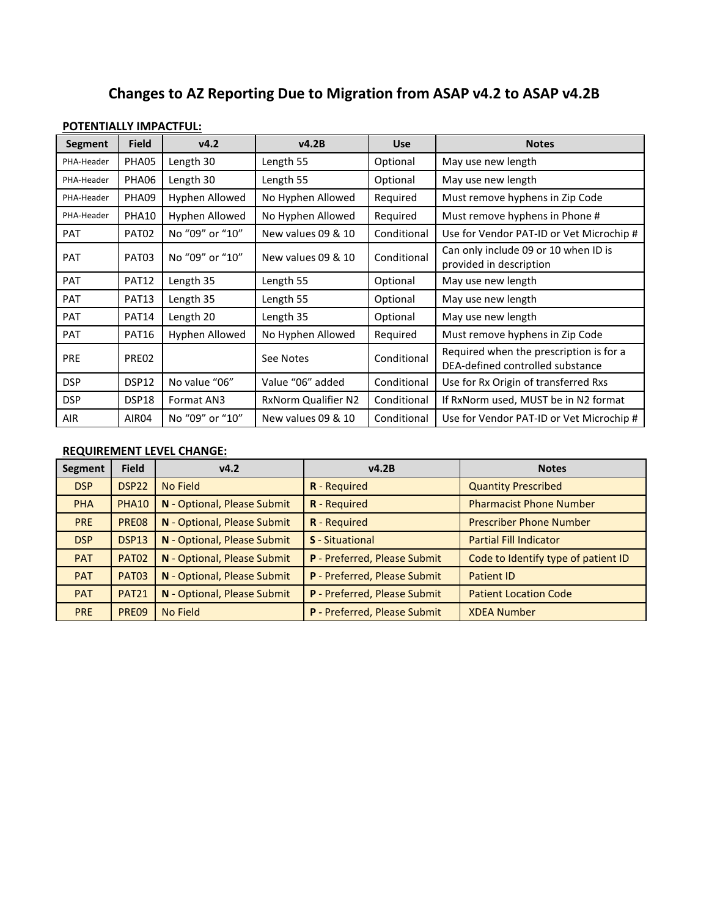## **Changes to AZ Reporting Due to Migration from ASAP v4.2 to ASAP v4.2B**

## **POTENTIALLY IMPACTFUL:**

| <b>Segment</b> | <b>Field</b> | v4.2            | v4.2B                      | <b>Use</b>  | <b>Notes</b>                                                                |
|----------------|--------------|-----------------|----------------------------|-------------|-----------------------------------------------------------------------------|
| PHA-Header     | PHA05        | Length 30       | Length 55                  | Optional    | May use new length                                                          |
| PHA-Header     | PHA06        | Length 30       | Length 55                  | Optional    | May use new length                                                          |
| PHA-Header     | PHA09        | Hyphen Allowed  | No Hyphen Allowed          | Required    | Must remove hyphens in Zip Code                                             |
| PHA-Header     | <b>PHA10</b> | Hyphen Allowed  | No Hyphen Allowed          | Required    | Must remove hyphens in Phone #                                              |
| <b>PAT</b>     | PAT02        | No "09" or "10" | New values 09 & 10         | Conditional | Use for Vendor PAT-ID or Vet Microchip #                                    |
| <b>PAT</b>     | PAT03        | No "09" or "10" | New values 09 & 10         | Conditional | Can only include 09 or 10 when ID is<br>provided in description             |
| <b>PAT</b>     | PAT12        | Length 35       | Length 55                  | Optional    | May use new length                                                          |
| <b>PAT</b>     | <b>PAT13</b> | Length 35       | Length 55                  | Optional    | May use new length                                                          |
| <b>PAT</b>     | PAT14        | Length 20       | Length 35                  | Optional    | May use new length                                                          |
| <b>PAT</b>     | PAT16        | Hyphen Allowed  | No Hyphen Allowed          | Required    | Must remove hyphens in Zip Code                                             |
| <b>PRE</b>     | PREO2        |                 | See Notes                  | Conditional | Required when the prescription is for a<br>DEA-defined controlled substance |
| <b>DSP</b>     | DSP12        | No value "06"   | Value "06" added           | Conditional | Use for Rx Origin of transferred Rxs                                        |
| <b>DSP</b>     | DSP18        | Format AN3      | <b>RxNorm Qualifier N2</b> | Conditional | If RxNorm used, MUST be in N2 format                                        |
| <b>AIR</b>     | AIR04        | No "09" or "10" | New values 09 & 10         | Conditional | Use for Vendor PAT-ID or Vet Microchip #                                    |

## **REQUIREMENT LEVEL CHANGE:**

| <b>Segment</b> | <b>Field</b>      | v4.2                        | v4.2B                        | <b>Notes</b>                        |
|----------------|-------------------|-----------------------------|------------------------------|-------------------------------------|
| <b>DSP</b>     | DSP <sub>22</sub> | No Field                    | <b>R</b> - Required          | <b>Quantity Prescribed</b>          |
| <b>PHA</b>     | <b>PHA10</b>      | N - Optional, Please Submit | R - Required                 | <b>Pharmacist Phone Number</b>      |
| <b>PRE</b>     | PRE08             | N - Optional, Please Submit | <b>R</b> - Required          | <b>Prescriber Phone Number</b>      |
| <b>DSP</b>     | DSP <sub>13</sub> | N - Optional, Please Submit | <b>S</b> - Situational       | <b>Partial Fill Indicator</b>       |
| <b>PAT</b>     | <b>PAT02</b>      | N - Optional, Please Submit | P - Preferred, Please Submit | Code to Identify type of patient ID |
| <b>PAT</b>     | <b>PAT03</b>      | N - Optional, Please Submit | P - Preferred, Please Submit | <b>Patient ID</b>                   |
| <b>PAT</b>     | <b>PAT21</b>      | N - Optional, Please Submit | P - Preferred, Please Submit | <b>Patient Location Code</b>        |
| <b>PRE</b>     | PRE09             | No Field                    | P - Preferred, Please Submit | <b>XDEA Number</b>                  |